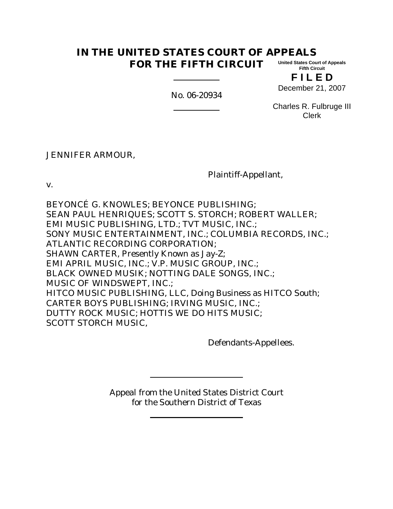#### **IN THE UNITED STATES COURT OF APPEALS FOR THE FIFTH CIRCUIT United States Court of Appeals Fifth Circuit**

**F I L E D** December 21, 2007

No. 06-20934

Charles R. Fulbruge III Clerk

JENNIFER ARMOUR,

Plaintiff-Appellant,

v.

BEYONCÉ G. KNOWLES; BEYONCE PUBLISHING; SEAN PAUL HENRIQUES; SCOTT S. STORCH; ROBERT WALLER; EMI MUSIC PUBLISHING, LTD.; TVT MUSIC, INC.; SONY MUSIC ENTERTAINMENT, INC.; COLUMBIA RECORDS, INC.; ATLANTIC RECORDING CORPORATION; SHAWN CARTER, Presently Known as Jay-Z; EMI APRIL MUSIC, INC.; V.P. MUSIC GROUP, INC.; BLACK OWNED MUSIK; NOTTING DALE SONGS, INC.; MUSIC OF WINDSWEPT, INC.; HITCO MUSIC PUBLISHING, LLC, Doing Business as HITCO South; CARTER BOYS PUBLISHING; IRVING MUSIC, INC.; DUTTY ROCK MUSIC; HOTTIS WE DO HITS MUSIC; SCOTT STORCH MUSIC,

Defendants-Appellees.

Appeal from the United States District Court for the Southern District of Texas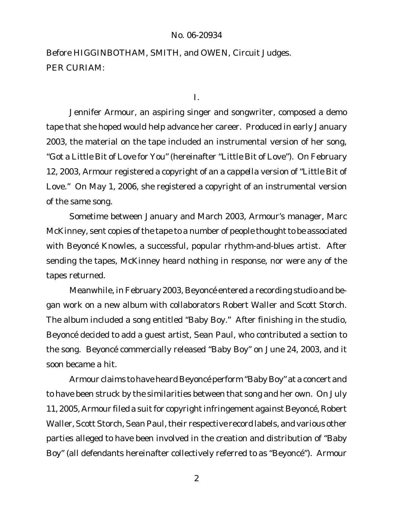### No. 06-20934

Before HIGGINBOTHAM, SMITH, and OWEN, Circuit Judges. PER CURIAM:

I.

Jennifer Armour, an aspiring singer and songwriter, composed a demo tape that she hoped would help advance her career. Produced in early January 2003, the material on the tape included an instrumental version of her song, "Got a Little Bit of Love for You" (hereinafter "Little Bit of Love"). On February 12, 2003, Armour registered a copyright of an *a cappella* version of "Little Bit of Love." On May 1, 2006, she registered a copyright of an instrumental version of the same song.

Sometime between January and March 2003, Armour's manager, Marc McKinney, sent copies of the tape to a number of people thought to be associated with Beyoncé Knowles, a successful, popular rhythm-and-blues artist. After sending the tapes, McKinney heard nothing in response, nor were any of the tapes returned.

Meanwhile, in February 2003, Beyoncé entered a recording studio and began work on a new album with collaborators Robert Waller and Scott Storch. The album included a song entitled "Baby Boy." After finishing in the studio, Beyoncé decided to add a guest artist, Sean Paul, who contributed a section to the song. Beyoncé commercially released "Baby Boy" on June 24, 2003, and it soon became a hit.

Armour claims to have heard Beyoncé perform "Baby Boy" at a concert and to have been struck by the similarities between that song and her own. On July 11, 2005, Armour filed a suit for copyright infringement against Beyoncé, Robert Waller, Scott Storch, Sean Paul, their respective record labels, and various other parties alleged to have been involved in the creation and distribution of "Baby Boy" (all defendants hereinafter collectively referred to as "Beyoncé"). Armour

2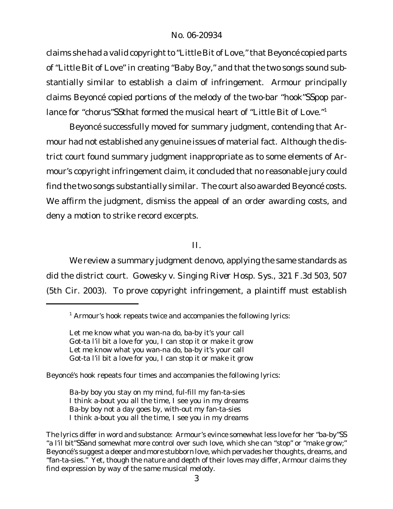## No. 06-20934

claims she had a valid copyright to "Little Bit of Love," that Beyoncé copied parts of "Little Bit of Love" in creating "Baby Boy," and that the two songs sound substantially similar to establish a claim of infringement. Armour principally claims Beyoncé copied portions of the melody of the two-bar "hook"SSpop parlance for "chorus"SSthat formed the musical heart of "Little Bit of Love."<sup>1</sup>

Beyoncé successfully moved for summary judgment, contending that Armour had not established any genuine issues of material fact. Although the district court found summary judgment inappropriate as to some elements of Armour's copyright infringement claim, it concluded that no reasonable jury could find the two songs substantially similar. The court also awarded Beyoncé costs. We affirm the judgment, dismiss the appeal of an order awarding costs, and deny a motion to strike record excerpts.

II.

We review a summary judgment *de novo*, applying the same standards as did the district court. *Gowesky v. Singing River Hosp. Sys.*, 321 F.3d 503, 507 (5th Cir. 2003). To prove copyright infringement, a plaintiff must establish

Beyoncé's hook repeats four times and accompanies the following lyrics:

Ba-by boy you stay on my mind, ful-fill my fan-ta-sies I think a-bout you all the time, I see you in my dreams Ba-by boy not a day goes by, with-out my fan-ta-sies I think a-bout you all the time, I see you in my dreams

 $1$  Armour's hook repeats twice and accompanies the following lyrics:

Let me know what you wan-na do, ba-by it's your call Got-ta l'il bit a love for you, I can stop it or make it grow Let me know what you wan-na do, ba-by it's your call Got-ta l'il bit a love for you, I can stop it or make it grow

The lyrics differ in word and substance: Armour's evince somewhat less love for her "ba-by"SS "a l'il bit"SSand somewhat more control over such love, which she can "stop" or "make grow;" Beyoncé's suggest a deeper and more stubborn love, which pervades her thoughts, dreams, and "fan-ta-sies." Yet, though the nature and depth of their loves may differ, Armour claims they find expression by way of the same musical melody.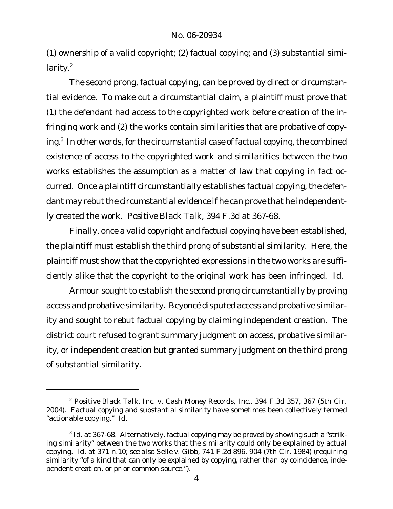(1) ownership of a valid copyright; (2) factual copying; and (3) substantial similarity. $2$ 

The second prong, factual copying, can be proved by direct or circumstantial evidence. To make out a circumstantial claim, a plaintiff must prove that (1) the defendant had access to the copyrighted work before creation of the infringing work and (2) the works contain similarities that are probative of copying.<sup>3</sup> In other words, for the circumstantial case of factual copying, the combined existence of access to the copyrighted work and similarities between the two works establishes the assumption as a matter of law that copying in fact occurred. Once a plaintiff circumstantially establishes factual copying, the defendant may rebut the circumstantial evidence if he can prove that he independently created the work. *Positive Black Talk*, 394 F.3d at 367-68.

Finally, once a valid copyright and factual copying have been established, the plaintiff must establish the third prong of substantial similarity. Here, the plaintiff must show that the copyrighted expressions in the two works are sufficiently alike that the copyright to the original work has been infringed. *Id*.

Armour sought to establish the second prong circumstantially by proving access and probative similarity. Beyoncé disputed access and probative similarity and sought to rebut factual copying by claiming independent creation. The district court refused to grant summary judgment on access, probative similarity, or independent creation but granted summary judgment on the third prong of substantial similarity.

<sup>2</sup> *Positive Black Talk, Inc. v. Cash Money Records, Inc.*, 394 F.3d 357, 367 (5th Cir. 2004). Factual copying and substantial similarity have sometimes been collectively termed "actionable copying." *Id.*

<sup>&</sup>lt;sup>3</sup> Id. at 367-68. Alternatively, factual copying may be proved by showing such a "striking similarity" between the two works that the similarity could only be explained by actual copying. *Id.* at 371 n.10; *see also Selle v. Gibb*, 741 F.2d 896, 904 (7th Cir. 1984) (requiring similarity "of a kind that can only be explained by copying, rather than by coincidence, independent creation, or prior common source.").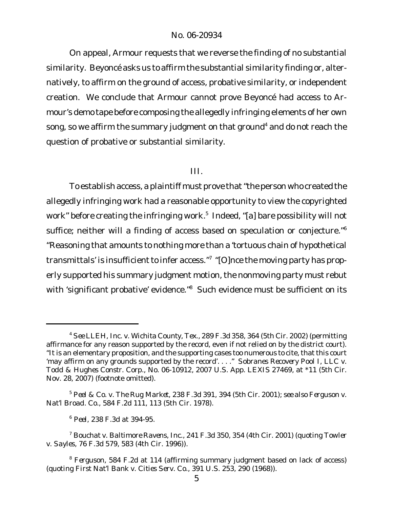### No. 06-20934

On appeal, Armour requests that we reverse the finding of no substantial similarity. Beyoncé asks us to affirm the substantial similarity finding or, alternatively, to affirm on the ground of access, probative similarity, or independent creation. We conclude that Armour cannot prove Beyoncé had access to Armour's demo tape before composing the allegedly infringing elements of her own song, so we affirm the summary judgment on that ground<sup>4</sup> and do not reach the question of probative or substantial similarity.

### III.

To establish access, a plaintiff must prove that "the person who created the allegedly infringing work had a reasonable opportunity to view the copyrighted work" before creating the infringing work.<sup>5</sup> Indeed, "[a] bare possibility will not suffice; neither will a finding of access based on speculation or conjecture."<sup>6</sup> "Reasoning that amounts to nothing more than a 'tortuous chain of hypothetical transmittals' is insufficient to infer access."<sup>7</sup> "[O]nce the moving party has properly supported his summary judgment motion, the nonmoving party must rebut with 'significant probative' evidence."<sup>8</sup> Such evidence must be sufficient on its

<sup>4</sup> *See LLEH, Inc. v. Wichita County, Tex.*, 289 F.3d 358, 364 (5th Cir. 2002) (permitting affirmance for any reason supported by the record, even if not relied on by the district court). "It is an elementary proposition, and the supporting cases too numerous to cite, that this court 'may affirm on any grounds supported by the record'. . . ." *Sobranes Recovery Pool I, LLC v. Todd & Hughes Constr. Corp.*, No. 06-10912, 2007 U.S. App. LEXIS 27469, at \*11 (5th Cir. Nov. 28, 2007) (footnote omitted).

<sup>5</sup> *Peel & Co. v. The Rug Market*, 238 F.3d 391, 394 (5th Cir. 2001); *see also Ferguson v. Nat'l Broad. Co.*, 584 F.2d 111, 113 (5th Cir. 1978).

<sup>6</sup> *Peel*, 238 F.3d at 394-95.

<sup>7</sup> *Bouchat v. Baltimore Ravens, Inc.*, 241 F.3d 350, 354 (4th Cir. 2001) (quoting *Towler v. Sayles*, 76 F.3d 579, 583 (4th Cir. 1996)).

<sup>8</sup> *Ferguson*, 584 F.2d at 114 (affirming summary judgment based on lack of access) (quoting *First Nat'l Bank v. Cities Serv. Co.*, 391 U.S. 253, 290 (1968)).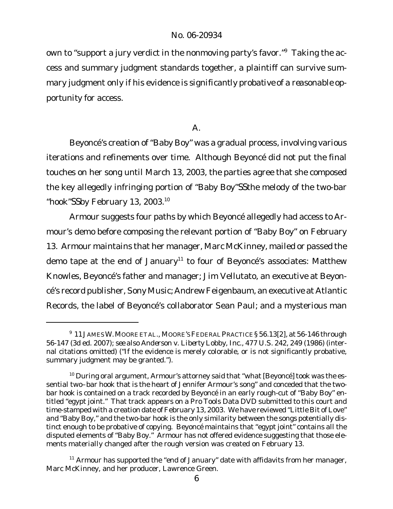own to "support a jury verdict in the nonmoving party's favor." Taking the access and summary judgment standards together, a plaintiff can survive summary judgment only if his evidence is *significantly probative* of a *reasonable opportunity* for access.

## A.

Beyoncé's creation of "Baby Boy" was a gradual process, involving various iterations and refinements over time. Although Beyoncé did not put the final touches on her song until March 13, 2003, the parties agree that she composed the key allegedly infringing portion of "Baby Boy"SSthe melody of the two-bar "hook"SSby February 13, 2003.<sup>10</sup>

Armour suggests four paths by which Beyoncé allegedly had access to Armour's demo before composing the relevant portion of "Baby Boy" on February 13. Armour maintains that her manager, Marc McKinney, mailed or passed the demo tape at the end of January<sup>11</sup> to four of Beyoncé's associates: Matthew Knowles, Beyoncé's father and manager; Jim Vellutato, an executive at Beyoncé's record publisher, Sony Music; Andrew Feigenbaum, an executive at Atlantic Records, the label of Beyoncé's collaborator Sean Paul; and a mysterious man

<sup>9</sup> 11JAMESW.MOOREETAL., MOORE'SFEDERALPRACTICE§ 56.13[2], at 56-146 through 56-147 (3d ed. 2007); *see also Anderson v. Liberty Lobby, Inc.*, 477 U.S. 242, 249 (1986) (internal citations omitted) ("If the evidence is merely colorable, or is not significantly probative, summary judgment may be granted.").

 $10$  During oral argument, Armour's attorney said that "what [Beyoncé] took was the essential two–bar hook that is the heart of Jennifer Armour's song" and conceded that the twobar hook is contained on a track recorded by Beyoncé in an early rough-cut of "Baby Boy" entitled "egypt joint." That track appears on a Pro Tools Data DVD submitted to this court and time-stamped with a creation date of February 13, 2003. We have reviewed "Little Bit of Love" and "Baby Boy," and the two-bar hook is the only similarity between the songs potentially distinct enough to be probative of copying. Beyoncé maintains that "egypt joint" contains all the disputed elements of "Baby Boy." Armour has not offered evidence suggesting that those elements materially changed after the rough version was created on February 13.

 $11$  Armour has supported the "end of January" date with affidavits from her manager, Marc McKinney, and her producer, Lawrence Green.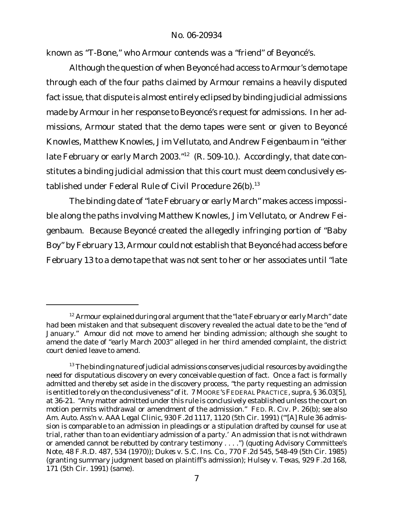known as "T-Bone," who Armour contends was a "friend" of Beyoncé's.

Although the question of when Beyoncé had access to Armour's demo tape through each of the four paths claimed by Armour remains a heavily disputed fact issue, that dispute is almost entirely eclipsed by binding judicial admissions made by Armour in her response to Beyoncé's request for admissions. In her admissions, Armour stated that the demo tapes were sent or given to Beyoncé Knowles, Matthew Knowles, Jim Vellutato, and Andrew Feigenbaum in "either late February or early March 2003."<sup>12</sup> (R. 509-10.). Accordingly, that date constitutes a binding judicial admission that this court must deem conclusively established under Federal Rule of Civil Procedure 26(b).<sup>13</sup>

The binding date of "late February or early March" makes access impossible along the paths involving Matthew Knowles, Jim Vellutato, or Andrew Feigenbaum. Because Beyoncé created the allegedly infringing portion of "Baby Boy" by February 13, Armour could not establish that Beyoncé had access before February 13 to a demo tape that was not sent to her or her associates until "late

 $12$  Armour explained during oral argument that the "late February or early March" date had been mistaken and that subsequent discovery revealed the actual date to be the "end of January." Amour did not move to amend her binding admission; although she sought to amend the date of "early March 2003" alleged in her third amended complaint, the district court denied leave to amend.

 $13$  The binding nature of judicial admissions conserves judicial resources by avoiding the need for disputatious discovery on every conceivable question of fact. Once a fact is formally admitted and thereby set aside in the discovery process, "the party requesting an admission is entitled to rely on the conclusiveness" of it. 7 MOORE'SFEDERALPRACTICE, *supra*, § 36.03[5], at 36-21. "Any matter admitted under this rule is conclusively established unless the court on motion permits withdrawal or amendment of the admission." FED. R. CIV. P. 26(b); *see also Am. Auto. Ass'n v. AAA Legal Clinic*, 930 F.2d 1117, 1120 (5th Cir. 1991) ("'[A] Rule 36 admission is comparable to an admission in pleadings or a stipulation drafted by counsel for use at trial, rather than to an evidentiary admission of a party.' An admission that is not withdrawn or amended cannot be rebutted by contrary testimony . . . .") (quoting Advisory Committee's Note, 48 F.R.D. 487, 534 (1970)); *Dukes v. S.C. Ins. Co.*, 770 F.2d 545, 548-49 (5th Cir. 1985) (granting summary judgment based on plaintiff's admission); *Hulsey v. Texas*, 929 F.2d 168, 171 (5th Cir. 1991) (same).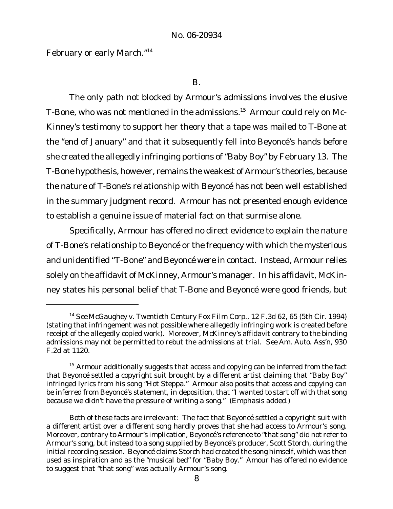February or early March."<sup>14</sup>

B.

The only path not blocked by Armour's admissions involves the elusive T-Bone, who was not mentioned in the admissions.<sup>15</sup> Armour could rely on Mc-Kinney's testimony to support her theory that a tape was mailed to T-Bone at the "end of January" and that it subsequently fell into Beyoncé's hands before she created the allegedly infringing portions of "Baby Boy" by February 13. The T-Bone hypothesis, however, remains the weakest of Armour's theories, because the nature of T-Bone's relationship with Beyoncé has not been well established in the summary judgment record. Armour has not presented enough evidence to establish a genuine issue of material fact on that surmise alone.

Specifically, Armour has offered no direct evidence to explain the nature of T-Bone's relationship to Beyoncé or the frequency with which the mysterious and unidentified "T-Bone" and Beyoncé were in contact. Instead, Armour relies solely on the affidavit of McKinney, Armour's manager. In his affidavit, McKinney states his personal belief that T-Bone and Beyoncé were good friends, but

<sup>14</sup> *See McGaughey v. Twentieth Century Fox Film Corp.*, 12 F.3d 62, 65 (5th Cir. 1994) (stating that infringement was not possible where allegedly infringing work is created before receipt of the allegedly copied work). Moreover, McKinney's affidavit contrary to the binding admissions may not be permitted to rebut the admissions at trial. *See Am. Auto. Ass'n*, 930 F.2d at 1120.

 $15$  Armour additionally suggests that access and copying can be inferred from the fact that Beyoncé settled a copyright suit brought by a different artist claiming that "Baby Boy" infringed lyrics from his song "Hot Steppa." Armour also posits that access and copying can be inferred from Beyoncé's statement, in deposition, that "I wanted to start off with *that song* because we didn't have the pressure of writing a song." (Emphasis added.)

Both of these facts are irrelevant: The fact that Beyoncé settled a copyright suit with a different artist over a different song hardly proves that she had access to Armour's song. Moreover, contrary to Armour's implication, Beyoncé's reference to "that song" did not refer to Armour's song, but instead to a song supplied by Beyoncé's producer, Scott Storch, during the initial recording session. Beyoncé claims Storch had created the song himself, which was then used as inspiration and as the "musical bed" for "Baby Boy." Amour has offered no evidence to suggest that "that song" was actually Armour's song.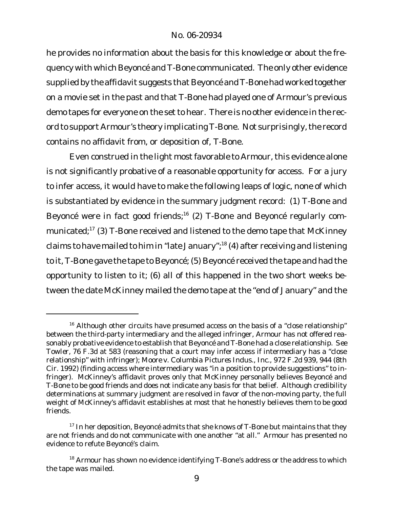he provides no information about the basis for this knowledge or about the frequency with which Beyoncé and T-Bone communicated. The only other evidence supplied by the affidavit suggests that Beyoncé and T-Bone had worked together on a movie set in the past and that T-Bone had played one of Armour's previous demo tapes for everyone on the set to hear. There is no other evidence in the record to support Armour's theory implicating T-Bone. Not surprisingly, the record contains no affidavit from, or deposition of, T-Bone.

Even construed in the light most favorable to Armour, this evidence alone is not significantly probative of a reasonable opportunity for access. For a jury to infer access, it would have to make the following leaps of logic, none of which is substantiated by evidence in the summary judgment record: (1) T-Bone and Beyoncé were in fact good friends;<sup>16</sup> (2) T-Bone and Beyoncé regularly communicated;<sup>17</sup> (3) T-Bone received and listened to the demo tape that McKinney claims to have mailed to him in "late January";<sup>18</sup> (4) after receiving and listening to it, T-Bone gave the tape to Beyoncé; (5) Beyoncé received the tape and had the opportunity to listen to it; (6) all of this happened in the two short weeks between the date McKinney mailed the demo tape at the "end of January" and the

 $16$  Although other circuits have presumed access on the basis of a "close relationship" between the third-party intermediary and the alleged infringer, Armour has not offered reasonably probative evidence to establish that Beyoncé and T-Bone had a close relationship. *See Towler*, 76 F.3d at 583 (reasoning that a court may infer access if intermediary has a "close relationship" with infringer); *Moore v. Columbia Pictures Indus., Inc.*, 972 F.2d 939, 944 (8th Cir. 1992) (finding access where intermediary was "in a position to provide suggestions" to infringer). McKinney's affidavit proves only that McKinney personally believes Beyoncé and T-Bone to be good friends and does not indicate any basis for that belief. Although credibility determinations at summary judgment are resolved in favor of the non-moving party, the full weight of McKinney's affidavit establishes at most that he honestly believes them to be good friends.

 $17$  In her deposition, Beyoncé admits that she knows of T-Bone but maintains that they are not friends and do not communicate with one another "at all." Armour has presented no evidence to refute Beyoncé's claim.

 $18$  Armour has shown no evidence identifying T-Bone's address or the address to which the tape was mailed.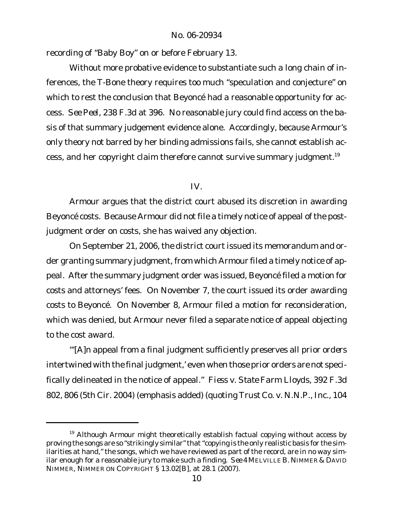recording of "Baby Boy" on or before February 13.

Without more probative evidence to substantiate such a long chain of inferences, the T-Bone theory requires too much "speculation and conjecture" on which to rest the conclusion that Beyoncé had a reasonable opportunity for access. *See Peel*, 238 F.3d at 396. No reasonable jury could find access on the basis of that summary judgement evidence alone. Accordingly, because Armour's only theory not barred by her binding admissions fails, she cannot establish access, and her copyright claim therefore cannot survive summary judgment.<sup>19</sup>

# IV.

Armour argues that the district court abused its discretion in awarding Beyoncé costs. Because Armour did not file a timely notice of appeal of the postjudgment order on costs, she has waived any objection.

On September 21, 2006, the district court issued its memorandum and order granting summary judgment, from which Armour filed a timely notice of appeal. After the summary judgment order was issued, Beyoncé filed a motion for costs and attorneys' fees. On November 7, the court issued its order awarding costs to Beyoncé. On November 8, Armour filed a motion for reconsideration, which was denied, but Armour never filed a separate notice of appeal objecting to the cost award.

"'[A]n appeal from a final judgment sufficiently preserves all *prior orders* intertwined with the final judgment,' even when those prior orders are not specifically delineated in the notice of appeal." *Fiess v. State Farm Lloyds*, 392 F.3d 802, 806 (5th Cir. 2004) (emphasis added) (quoting *Trust Co. v. N.N.P., Inc.*, 104

 $19$  Although Armour might theoretically establish factual copying without access by proving the songs are so "strikingly similar" that "copying is the only realistic basis for the similarities at hand," the songs, which we have reviewed as part of the record, are in no way similar enough for a reasonable jury to make such a finding. *See* 4 MELVILLE B. NIMMER & DAVID NIMMER, NIMMER ON COPYRIGHT § 13.02[B], at 28.1 (2007).